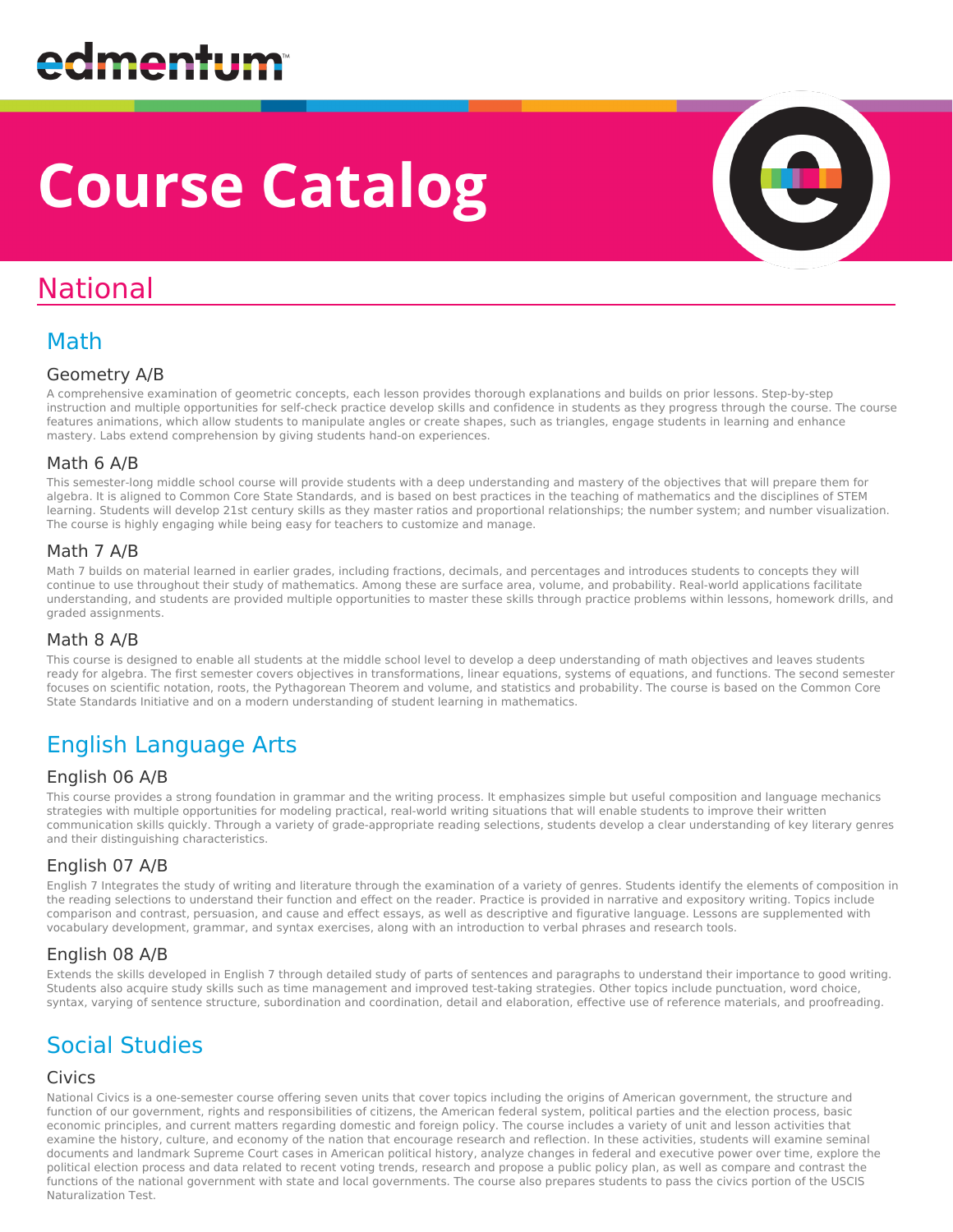# **Course Catalog**

## National

### Math

#### Geometry A/B

A comprehensive examination of geometric concepts, each lesson provides thorough explanations and builds on prior lessons. Step-by-step instruction and multiple opportunities for self-check practice develop skills and confidence in students as they progress through the course. The course features animations, which allow students to manipulate angles or create shapes, such as triangles, engage students in learning and enhance mastery. Labs extend comprehension by giving students hand-on experiences.

#### Math 6 A/B

This semester-long middle school course will provide students with a deep understanding and mastery of the objectives that will prepare them for algebra. It is aligned to Common Core State Standards, and is based on best practices in the teaching of mathematics and the disciplines of STEM learning. Students will develop 21st century skills as they master ratios and proportional relationships; the number system; and number visualization. The course is highly engaging while being easy for teachers to customize and manage.

#### Math 7 A/B

Math 7 builds on material learned in earlier grades, including fractions, decimals, and percentages and introduces students to concepts they will continue to use throughout their study of mathematics. Among these are surface area, volume, and probability. Real-world applications facilitate understanding, and students are provided multiple opportunities to master these skills through practice problems within lessons, homework drills, and graded assignments.

#### Math 8 A/B

This course is designed to enable all students at the middle school level to develop a deep understanding of math objectives and leaves students ready for algebra. The first semester covers objectives in transformations, linear equations, systems of equations, and functions. The second semester focuses on scientific notation, roots, the Pythagorean Theorem and volume, and statistics and probability. The course is based on the Common Core State Standards Initiative and on a modern understanding of student learning in mathematics.

### English Language Arts

#### English 06 A/B

This course provides a strong foundation in grammar and the writing process. It emphasizes simple but useful composition and language mechanics strategies with multiple opportunities for modeling practical, real-world writing situations that will enable students to improve their written communication skills quickly. Through a variety of grade-appropriate reading selections, students develop a clear understanding of key literary genres and their distinguishing characteristics.

#### English 07 A/B

English 7 Integrates the study of writing and literature through the examination of a variety of genres. Students identify the elements of composition in the reading selections to understand their function and effect on the reader. Practice is provided in narrative and expository writing. Topics include comparison and contrast, persuasion, and cause and effect essays, as well as descriptive and figurative language. Lessons are supplemented with vocabulary development, grammar, and syntax exercises, along with an introduction to verbal phrases and research tools.

#### English 08 A/B

Extends the skills developed in English 7 through detailed study of parts of sentences and paragraphs to understand their importance to good writing. Students also acquire study skills such as time management and improved test-taking strategies. Other topics include punctuation, word choice, syntax, varying of sentence structure, subordination and coordination, detail and elaboration, effective use of reference materials, and proofreading.

### Social Studies

#### Civics

National Civics is a one-semester course offering seven units that cover topics including the origins of American government, the structure and function of our government, rights and responsibilities of citizens, the American federal system, political parties and the election process, basic economic principles, and current matters regarding domestic and foreign policy. The course includes a variety of unit and lesson activities that examine the history, culture, and economy of the nation that encourage research and reflection. In these activities, students will examine seminal documents and landmark Supreme Court cases in American political history, analyze changes in federal and executive power over time, explore the political election process and data related to recent voting trends, research and propose a public policy plan, as well as compare and contrast the functions of the national government with state and local governments. The course also prepares students to pass the civics portion of the USCIS Naturalization Test.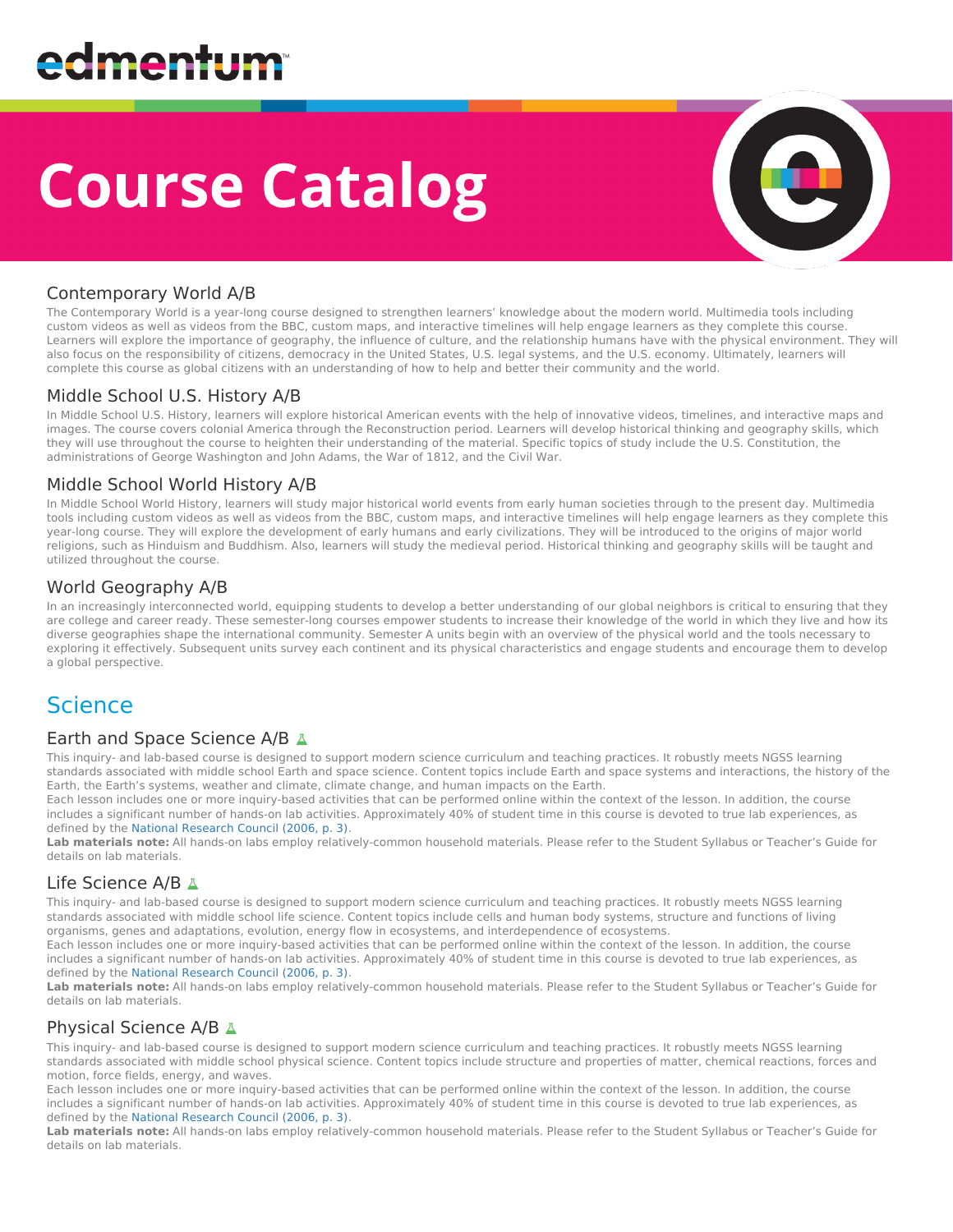# **Course Catalog**



#### Contemporary World A/B

The Contemporary World is a year-long course designed to strengthen learners' knowledge about the modern world. Multimedia tools including custom videos as well as videos from the BBC, custom maps, and interactive timelines will help engage learners as they complete this course. Learners will explore the importance of geography, the influence of culture, and the relationship humans have with the physical environment. They will also focus on the responsibility of citizens, democracy in the United States, U.S. legal systems, and the U.S. economy. Ultimately, learners will complete this course as global citizens with an understanding of how to help and better their community and the world.

#### Middle School U.S. History A/B

In Middle School U.S. History, learners will explore historical American events with the help of innovative videos, timelines, and interactive maps and images. The course covers colonial America through the Reconstruction period. Learners will develop historical thinking and geography skills, which they will use throughout the course to heighten their understanding of the material. Specific topics of study include the U.S. Constitution, the administrations of George Washington and John Adams, the War of 1812, and the Civil War.

#### Middle School World History A/B

In Middle School World History, learners will study major historical world events from early human societies through to the present day. Multimedia tools including custom videos as well as videos from the BBC, custom maps, and interactive timelines will help engage learners as they complete this year-long course. They will explore the development of early humans and early civilizations. They will be introduced to the origins of major world religions, such as Hinduism and Buddhism. Also, learners will study the medieval period. Historical thinking and geography skills will be taught and utilized throughout the course.

#### World Geography A/B

In an increasingly interconnected world, equipping students to develop a better understanding of our global neighbors is critical to ensuring that they are college and career ready. These semester-long courses empower students to increase their knowledge of the world in which they live and how its diverse geographies shape the international community. Semester A units begin with an overview of the physical world and the tools necessary to exploring it effectively. Subsequent units survey each continent and its physical characteristics and engage students and encourage them to develop a global perspective.

### Science

#### Earth and Space Science A/B A

This inquiry- and lab-based course is designed to support modern science curriculum and teaching practices. It robustly meets NGSS learning standards associated with middle school Earth and space science. Content topics include Earth and space systems and interactions, the history of the Earth, the Earth's systems, weather and climate, climate change, and human impacts on the Earth.

Each lesson includes one or more inquiry-based activities that can be performed online within the context of the lesson. In addition, the course includes a significant number of hands-on lab activities. Approximately 40% of student time in this course is devoted to true lab experiences, as defined by the [National Research Council \(2006, p. 3\)](http://redirect.platoweb.com/356020).

Lab materials note: All hands-on labs employ relatively-common household materials. Please refer to the Student Syllabus or Teacher's Guide for details on lab materials.

#### Life Science A/B A

This inquiry- and lab-based course is designed to support modern science curriculum and teaching practices. It robustly meets NGSS learning standards associated with middle school life science. Content topics include cells and human body systems, structure and functions of living organisms, genes and adaptations, evolution, energy flow in ecosystems, and interdependence of ecosystems.

Each lesson includes one or more inquiry-based activities that can be performed online within the context of the lesson. In addition, the course includes a significant number of hands-on lab activities. Approximately 40% of student time in this course is devoted to true lab experiences, as defined by the [National Research Council \(2006, p. 3\)](http://redirect.platoweb.com/356020).

Lab materials note: All hands-on labs employ relatively-common household materials. Please refer to the Student Syllabus or Teacher's Guide for details on lab materials.

#### Physical Science A/B A

This inquiry- and lab-based course is designed to support modern science curriculum and teaching practices. It robustly meets NGSS learning standards associated with middle school physical science. Content topics include structure and properties of matter, chemical reactions, forces and motion, force fields, energy, and waves.

Each lesson includes one or more inquiry-based activities that can be performed online within the context of the lesson. In addition, the course includes a significant number of hands-on lab activities. Approximately 40% of student time in this course is devoted to true lab experiences, as defined by the [National Research Council \(2006, p. 3\)](http://redirect.platoweb.com/356020).

**Lab materials note:** All hands-on labs employ relatively-common household materials. Please refer to the Student Syllabus or Teacher's Guide for details on lab materials.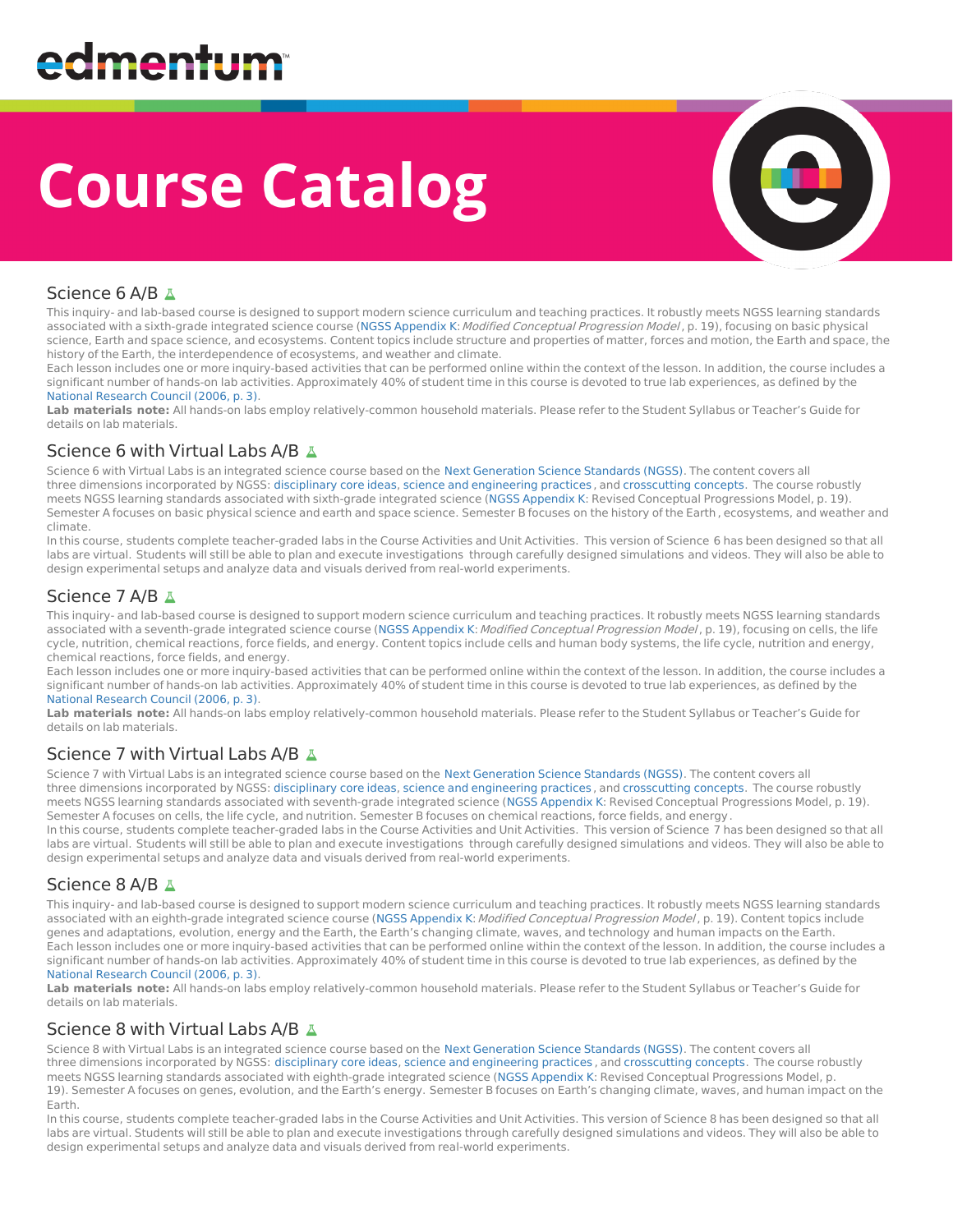# **Course Catalog**



#### Science 6 A/B

This inquiry- and lab-based course is designed to support modern science curriculum and teaching practices. It robustly meets NGSS learning standards associated with a sixth-grade integrated science course (NGSS [Appendix](http://redirect.platoweb.com/356614) K: Modified Conceptual Progression Model, p. 19), focusing on basic physical science, Earth and space science, and ecosystems. Content topics include structure and properties of matter, forces and motion, the Earth and space, the history of the Earth, the interdependence of ecosystems, and weather and climate.

Each lesson includes one or more inquiry-based activities that can be performed online within the context of the lesson. In addition, the course includes a significant number of hands-on lab activities. Approximately 40% of student time in this course is devoted to true lab experiences, as defined by the National [Research](http://redirect.platoweb.com/356020) Council (2006, p. 3).

Lab materials note: All hands-on labs employ relatively-common household materials. Please refer to the Student Syllabus or Teacher's Guide for details on lab materials.

#### Science 6 with Virtual Labs A/B A

Science 6 with Virtual Labs is an integrated science course based on the Next [Generation](http://redirect.platoweb.com/354132) Science Standards (NGSS). The content covers all three dimensions incorporated by NGSS: [disciplinary](http://redirect.platoweb.com/358785) core ideas, science and [engineering](http://redirect.platoweb.com/354115) practices , and [crosscutting](http://redirect.platoweb.com/354116) concepts. The course robustly meets NGSS learning standards associated with sixth-grade integrated science (NGSS [Appendix](http://redirect.platoweb.com/356614) K: Revised Conceptual Progressions Model, p. 19). Semester A focuses on basic physical science and earth and space science. Semester B focuses on the history of the Earth, ecosystems, and weather and climate.

In this course, students complete teacher-graded labs in the Course Activities and Unit Activities. This version of Science 6 has been designed so that all labs are virtual. Students will still be able to plan and execute investigations through carefully designed simulations and videos. They will also be able to design experimental setups and analyze data and visuals derived from real-world experiments.

#### Science 7 A/B  $\Delta$

This inquiry- and lab-based course is designed to support modern science curriculum and teaching practices. It robustly meets NGSS learning standards associated with a seventh-grade integrated science course (NGSS [Appendix](http://redirect.platoweb.com/356614) K: Modified Conceptual Progression Model, p. 19), focusing on cells, the life cycle, nutrition, chemical reactions, force fields, and energy. Content topics include cells and human body systems, the life cycle, nutrition and energy, chemical reactions, force fields, and energy.

Each lesson includes one or more inquiry-based activities that can be performed online within the context of the lesson. In addition, the course includes a significant number of hands-on lab activities. Approximately 40% of student time in this course is devoted to true lab experiences, as defined by the National [Research](http://redirect.platoweb.com/356020) Council (2006, p. 3).

**Lab materials note:** All hands-on labs employ relatively-common household materials. Please refer to the Student Syllabus or Teacher's Guide for details on lab materials.

#### Science 7 with Virtual Labs A/B A

Science 7 with Virtual Labs is an integrated science course based on the Next [Generation](http://redirect.platoweb.com/354132) Science Standards (NGSS). The content covers all three dimensions incorporated by NGSS: [disciplinary](http://redirect.platoweb.com/358785) core ideas, science and [engineering](http://redirect.platoweb.com/354115) practices , and [crosscutting](http://redirect.platoweb.com/354116) concepts. The course robustly meets NGSS learning standards associated with seventh-grade integrated science (NGSS [Appendix](http://redirect.platoweb.com/356614) K: Revised Conceptual Progressions Model, p. 19). Semester A focuses on cells, the life cycle, and nutrition. Semester B focuses on chemical reactions, force fields, and energy. In this course, students complete teacher-graded labs in the Course Activities and Unit Activities. This version of Science 7 has been designed so that all

labs are virtual. Students will still be able to plan and execute investigations through carefully designed simulations and videos. They will also be able to design experimental setups and analyze data and visuals derived from real-world experiments.

#### Science 8 A/B

This inquiry- and lab-based course is designed to support modern science curriculum and teaching practices. It robustly meets NGSS learning standards associated with an eighth-grade integrated science course (NGSS [Appendix](http://redirect.platoweb.com/356614) K: Modified Conceptual Progression Model, p. 19). Content topics include genes and adaptations, evolution, energy and the Earth, the Earth's changing climate, waves, and technology and human impacts on the Earth. Each lesson includes one or more inquiry-based activities that can be performed online within the context of the lesson. In addition, the course includes a significant number of hands-on lab activities. Approximately 40% of student time in this course is devoted to true lab experiences, as defined by the National [Research](http://redirect.platoweb.com/356020) Council (2006, p. 3).

Lab materials note: All hands-on labs employ relatively-common household materials. Please refer to the Student Syllabus or Teacher's Guide for details on lab materials.

#### Science 8 with Virtual Labs A/B A

Science 8 with Virtual Labs is an integrated science course based on the Next [Generation](http://redirect.platoweb.com/354132) Science Standards (NGSS). The content covers all three dimensions incorporated by NGSS: [disciplinary](http://redirect.platoweb.com/358785) core ideas, science and [engineering](http://redirect.platoweb.com/354115) practices , and [crosscutting](http://redirect.platoweb.com/354116) concepts. The course robustly meets NGSS learning standards associated with eighth-grade integrated science (NGSS [Appendix](http://redirect.platoweb.com/356614) K: Revised Conceptual Progressions Model, p. 19). Semester A focuses on genes, evolution, and the Earth's energy. Semester B focuses on Earth's changing climate, waves, and human impact on the Earth.

In this course, students complete teacher-graded labs in the Course Activities and Unit Activities. This version of Science 8 has been designed so that all labs are virtual. Students will still be able to plan and execute investigations through carefully designed simulations and videos. They will also be able to design experimental setups and analyze data and visuals derived from real-world experiments.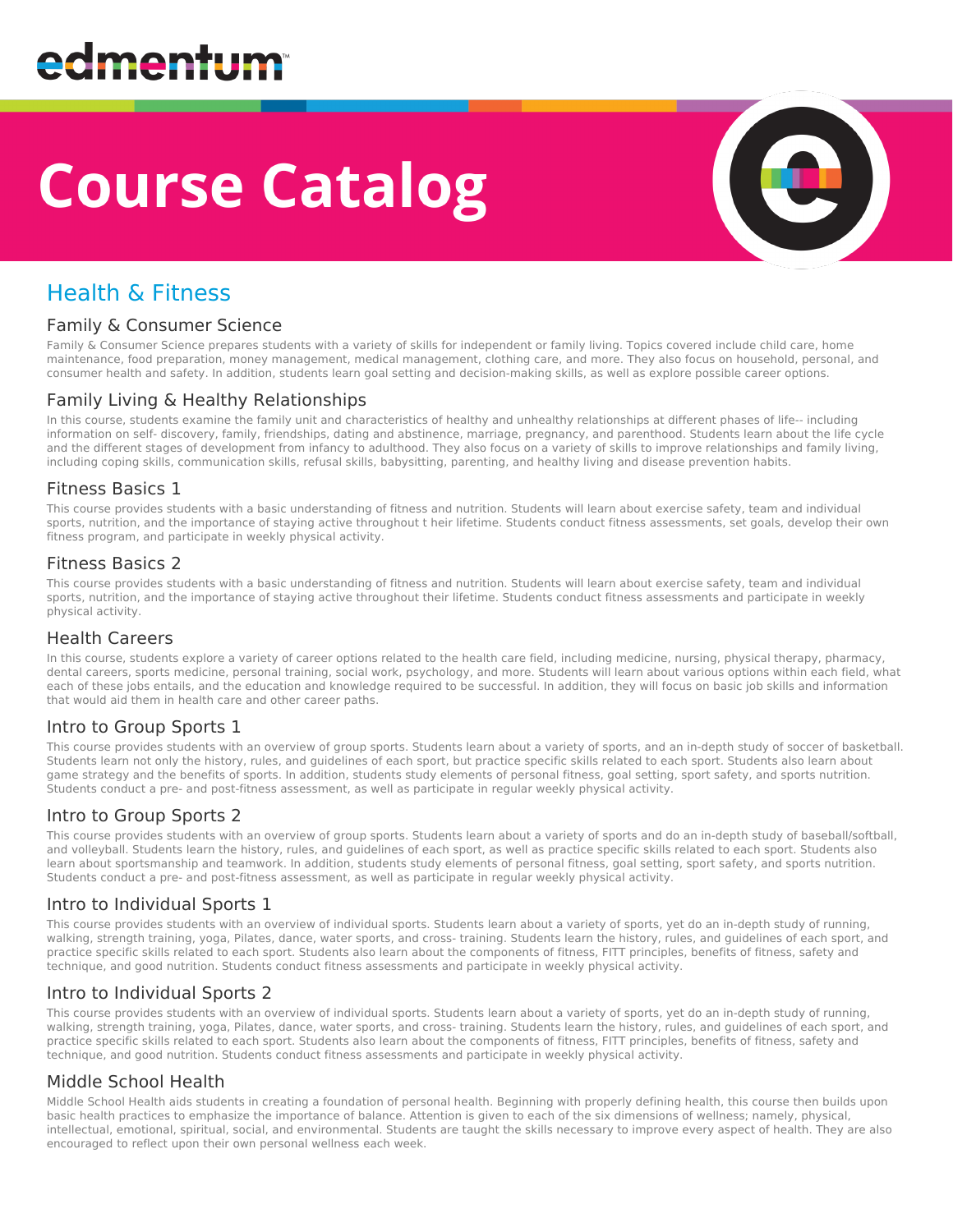# **Course Catalog**



### Health & Fitness

#### Family & Consumer Science

Family & Consumer Science prepares students with a variety of skills for independent or family living. Topics covered include child care, home maintenance, food preparation, money management, medical management, clothing care, and more. They also focus on household, personal, and consumer health and safety. In addition, students learn goal setting and decision-making skills, as well as explore possible career options.

#### Family Living & Healthy Relationships

In this course, students examine the family unit and characteristics of healthy and unhealthy relationships at different phases of life-- including information on self- discovery, family, friendships, dating and abstinence, marriage, pregnancy, and parenthood. Students learn about the life cycle and the different stages of development from infancy to adulthood. They also focus on a variety of skills to improve relationships and family living, including coping skills, communication skills, refusal skills, babysitting, parenting, and healthy living and disease prevention habits.

#### Fitness Basics 1

This course provides students with a basic understanding of fitness and nutrition. Students will learn about exercise safety, team and individual sports, nutrition, and the importance of staying active throughout t heir lifetime. Students conduct fitness assessments, set goals, develop their own fitness program, and participate in weekly physical activity.

#### Fitness Basics 2

This course provides students with a basic understanding of fitness and nutrition. Students will learn about exercise safety, team and individual sports, nutrition, and the importance of staying active throughout their lifetime. Students conduct fitness assessments and participate in weekly physical activity.

#### Health Careers

In this course, students explore a variety of career options related to the health care field, including medicine, nursing, physical therapy, pharmacy, dental careers, sports medicine, personal training, social work, psychology, and more. Students will learn about various options within each field, what each of these jobs entails, and the education and knowledge required to be successful. In addition, they will focus on basic job skills and information that would aid them in health care and other career paths.

#### Intro to Group Sports 1

This course provides students with an overview of group sports. Students learn about a variety of sports, and an in-depth study of soccer of basketball. Students learn not only the history, rules, and guidelines of each sport, but practice specific skills related to each sport. Students also learn about game strategy and the benefits of sports. In addition, students study elements of personal fitness, goal setting, sport safety, and sports nutrition. Students conduct a pre- and post-fitness assessment, as well as participate in regular weekly physical activity.

#### Intro to Group Sports 2

This course provides students with an overview of group sports. Students learn about a variety of sports and do an in-depth study of baseball/softball, and volleyball. Students learn the history, rules, and guidelines of each sport, as well as practice specific skills related to each sport. Students also learn about sportsmanship and teamwork. In addition, students study elements of personal fitness, goal setting, sport safety, and sports nutrition. Students conduct a pre- and post-fitness assessment, as well as participate in regular weekly physical activity.

#### Intro to Individual Sports 1

This course provides students with an overview of individual sports. Students learn about a variety of sports, yet do an in-depth study of running, walking, strength training, yoga, Pilates, dance, water sports, and cross- training. Students learn the history, rules, and guidelines of each sport, and practice specific skills related to each sport. Students also learn about the components of fitness, FITT principles, benefits of fitness, safety and technique, and good nutrition. Students conduct fitness assessments and participate in weekly physical activity.

#### Intro to Individual Sports 2

This course provides students with an overview of individual sports. Students learn about a variety of sports, yet do an in-depth study of running, walking, strength training, yoga, Pilates, dance, water sports, and cross- training. Students learn the history, rules, and guidelines of each sport, and practice specific skills related to each sport. Students also learn about the components of fitness, FITT principles, benefits of fitness, safety and technique, and good nutrition. Students conduct fitness assessments and participate in weekly physical activity.

#### Middle School Health

Middle School Health aids students in creating a foundation of personal health. Beginning with properly defining health, this course then builds upon basic health practices to emphasize the importance of balance. Attention is given to each of the six dimensions of wellness; namely, physical, intellectual, emotional, spiritual, social, and environmental. Students are taught the skills necessary to improve every aspect of health. They are also encouraged to reflect upon their own personal wellness each week.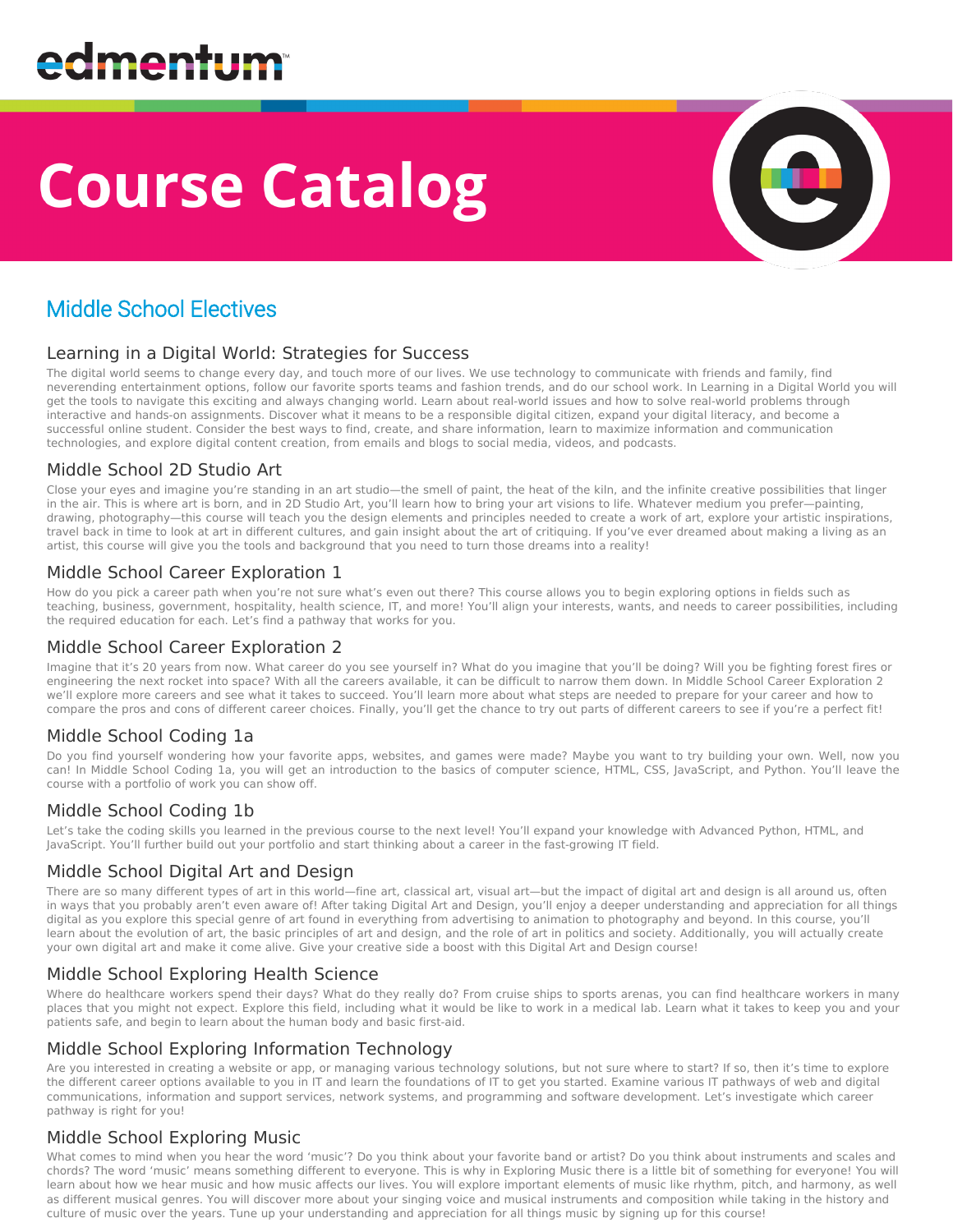# **Course Catalog**



### Middle School Electives

#### Learning in a Digital World: Strategies for Success

The digital world seems to change every day, and touch more of our lives. We use technology to communicate with friends and family, find neverending entertainment options, follow our favorite sports teams and fashion trends, and do our school work. In Learning in a Digital World you will get the tools to navigate this exciting and always changing world. Learn about real-world issues and how to solve real-world problems through interactive and hands-on assignments. Discover what it means to be a responsible digital citizen, expand your digital literacy, and become a successful online student. Consider the best ways to find, create, and share information, learn to maximize information and communication technologies, and explore digital content creation, from emails and blogs to social media, videos, and podcasts.

#### Middle School 2D Studio Art

Close your eyes and imagine you're standing in an art studio—the smell of paint, the heat of the kiln, and the infinite creative possibilities that linger in the air. This is where art is born, and in 2D Studio Art, you'll learn how to bring your art visions to life. Whatever medium you prefer—painting, drawing, photography—this course will teach you the design elements and principles needed to create a work of art, explore your artistic inspirations, travel back in time to look at art in different cultures, and gain insight about the art of critiquing. If you've ever dreamed about making a living as an artist, this course will give you the tools and background that you need to turn those dreams into a reality!

#### Middle School Career Exploration 1

How do you pick a career path when you're not sure what's even out there? This course allows you to begin exploring options in fields such as teaching, business, government, hospitality, health science, IT, and more! You'll align your interests, wants, and needs to career possibilities, including the required education for each. Let's find a pathway that works for you.

#### Middle School Career Exploration 2

Imagine that it's 20 years from now. What career do you see yourself in? What do you imagine that you'll be doing? Will you be fighting forest fires or engineering the next rocket into space? With all the careers available, it can be difficult to narrow them down. In Middle School Career Exploration 2 we'll explore more careers and see what it takes to succeed. You'll learn more about what steps are needed to prepare for your career and how to compare the pros and cons of different career choices. Finally, you'll get the chance to try out parts of different careers to see if you're a perfect fit!

#### Middle School Coding 1a

Do you find yourself wondering how your favorite apps, websites, and games were made? Maybe you want to try building your own. Well, now you can! In Middle School Coding 1a, you will get an introduction to the basics of computer science, HTML, CSS, JavaScript, and Python. You'll leave the course with a portfolio of work you can show off.

#### Middle School Coding 1b

Let's take the coding skills you learned in the previous course to the next level! You'll expand your knowledge with Advanced Python, HTML, and JavaScript. You'll further build out your portfolio and start thinking about a career in the fast-growing IT field.

#### Middle School Digital Art and Design

There are so many different types of art in this world—fine art, classical art, visual art—but the impact of digital art and design is all around us, often in ways that you probably aren't even aware of! After taking Digital Art and Design, you'll enjoy a deeper understanding and appreciation for all things digital as you explore this special genre of art found in everything from advertising to animation to photography and beyond. In this course, you'll learn about the evolution of art, the basic principles of art and design, and the role of art in politics and society. Additionally, you will actually create your own digital art and make it come alive. Give your creative side a boost with this Digital Art and Design course!

#### Middle School Exploring Health Science

Where do healthcare workers spend their days? What do they really do? From cruise ships to sports arenas, you can find healthcare workers in many places that you might not expect. Explore this field, including what it would be like to work in a medical lab. Learn what it takes to keep you and your patients safe, and begin to learn about the human body and basic first-aid.

#### Middle School Exploring Information Technology

Are you interested in creating a website or app, or managing various technology solutions, but not sure where to start? If so, then it's time to explore the different career options available to you in IT and learn the foundations of IT to get you started. Examine various IT pathways of web and digital communications, information and support services, network systems, and programming and software development. Let's investigate which career pathway is right for you!

#### Middle School Exploring Music

What comes to mind when you hear the word 'music'? Do you think about your favorite band or artist? Do you think about instruments and scales and chords? The word 'music' means something different to everyone. This is why in Exploring Music there is a little bit of something for everyone! You will learn about how we hear music and how music affects our lives. You will explore important elements of music like rhythm, pitch, and harmony, as well as different musical genres. You will discover more about your singing voice and musical instruments and composition while taking in the history and culture of music over the years. Tune up your understanding and appreciation for all things music by signing up for this course!